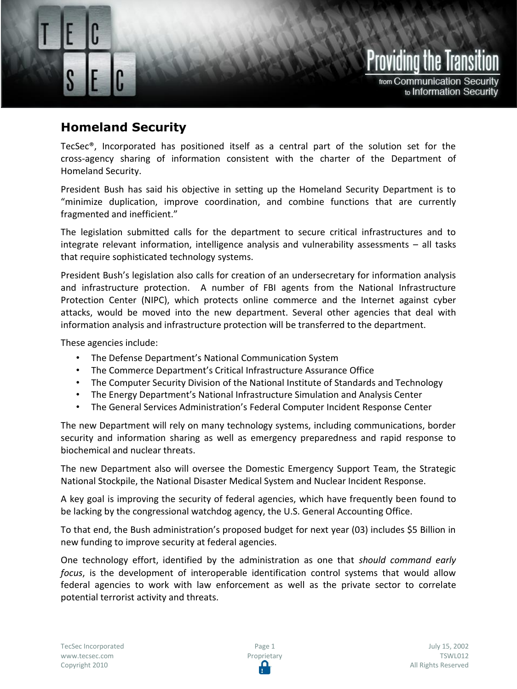## **Homeland Security**

Homeland Security

TecSec®, Incorporated has positioned itself as a central part of the solution set for the cross-agency sharing of information consistent with the charter of the Department of Homeland Security.

President Bush has said his objective in setting up the Homeland Security Department is to "minimize duplication, improve coordination, and combine functions that are currently fragmented and inefficient."

The legislation submitted calls for the department to secure critical infrastructures and to integrate relevant information, intelligence analysis and vulnerability assessments – all tasks that require sophisticated technology systems.

President Bush's legislation also calls for creation of an undersecretary for information analysis and infrastructure protection. A number of FBI agents from the National Infrastructure Protection Center (NIPC), which protects online commerce and the Internet against cyber attacks, would be moved into the new department. Several other agencies that deal with information analysis and infrastructure protection will be transferred to the department.

These agencies include:

- The Defense Department's National Communication System
- The Commerce Department's Critical Infrastructure Assurance Office
- The Computer Security Division of the National Institute of Standards and Technology
- The Energy Department's National Infrastructure Simulation and Analysis Center
- The General Services Administration's Federal Computer Incident Response Center

The new Department will rely on many technology systems, including communications, border security and information sharing as well as emergency preparedness and rapid response to biochemical and nuclear threats.

The new Department also will oversee the Domestic Emergency Support Team, the Strategic National Stockpile, the National Disaster Medical System and Nuclear Incident Response.

A key goal is improving the security of federal agencies, which have frequently been found to be lacking by the congressional watchdog agency, the U.S. General Accounting Office.

To that end, the Bush administration's proposed budget for next year (03) includes \$5 Billion in new funding to improve security at federal agencies.

One technology effort, identified by the administration as one that *should command early focus*, is the development of interoperable identification control systems that would allow federal agencies to work with law enforcement as well as the private sector to correlate potential terrorist activity and threats.

Providing the Trans

from Communication Security

to Information Security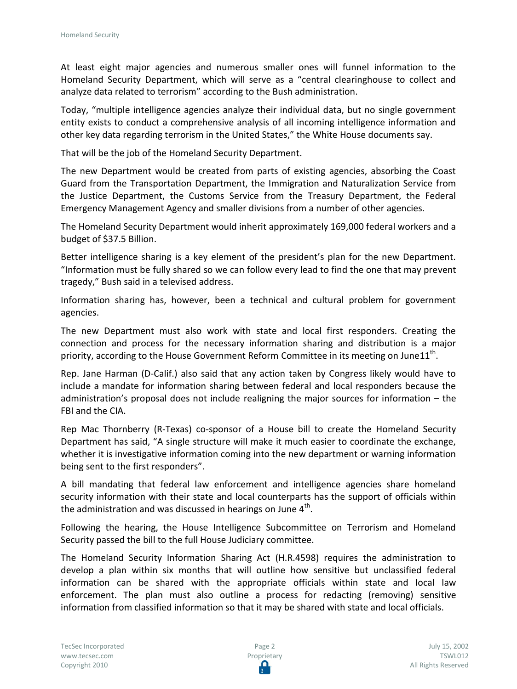At least eight major agencies and numerous smaller ones will funnel information to the Homeland Security Department, which will serve as a "central clearinghouse to collect and analyze data related to terrorism" according to the Bush administration.

Today, "multiple intelligence agencies analyze their individual data, but no single government entity exists to conduct a comprehensive analysis of all incoming intelligence information and other key data regarding terrorism in the United States," the White House documents say.

That will be the job of the Homeland Security Department.

The new Department would be created from parts of existing agencies, absorbing the Coast Guard from the Transportation Department, the Immigration and Naturalization Service from the Justice Department, the Customs Service from the Treasury Department, the Federal Emergency Management Agency and smaller divisions from a number of other agencies.

The Homeland Security Department would inherit approximately 169,000 federal workers and a budget of \$37.5 Billion.

Better intelligence sharing is a key element of the president's plan for the new Department. "Information must be fully shared so we can follow every lead to find the one that may prevent tragedy," Bush said in a televised address.

Information sharing has, however, been a technical and cultural problem for government agencies.

The new Department must also work with state and local first responders. Creating the connection and process for the necessary information sharing and distribution is a major priority, according to the House Government Reform Committee in its meeting on June11<sup>th</sup>.

Rep. Jane Harman (D-Calif.) also said that any action taken by Congress likely would have to include a mandate for information sharing between federal and local responders because the administration's proposal does not include realigning the major sources for information – the FBI and the CIA.

Rep Mac Thornberry (R-Texas) co-sponsor of a House bill to create the Homeland Security Department has said, "A single structure will make it much easier to coordinate the exchange, whether it is investigative information coming into the new department or warning information being sent to the first responders".

A bill mandating that federal law enforcement and intelligence agencies share homeland security information with their state and local counterparts has the support of officials within the administration and was discussed in hearings on June 4<sup>th</sup>.

Following the hearing, the House Intelligence Subcommittee on Terrorism and Homeland Security passed the bill to the full House Judiciary committee.

The Homeland Security Information Sharing Act (H.R.4598) requires the administration to develop a plan within six months that will outline how sensitive but unclassified federal information can be shared with the appropriate officials within state and local law enforcement. The plan must also outline a process for redacting (removing) sensitive information from classified information so that it may be shared with state and local officials.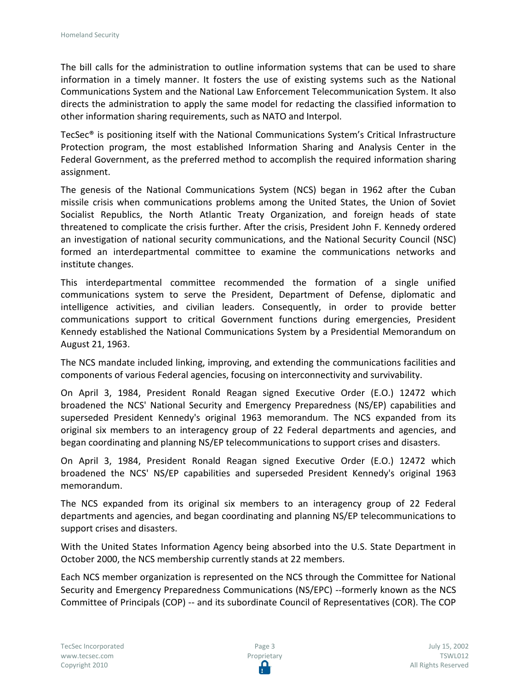The bill calls for the administration to outline information systems that can be used to share information in a timely manner. It fosters the use of existing systems such as the National Communications System and the National Law Enforcement Telecommunication System. It also directs the administration to apply the same model for redacting the classified information to other information sharing requirements, such as NATO and Interpol.

TecSec® is positioning itself with the National Communications System's Critical Infrastructure Protection program, the most established Information Sharing and Analysis Center in the Federal Government, as the preferred method to accomplish the required information sharing assignment.

The genesis of the National Communications System (NCS) began in 1962 after the Cuban missile crisis when communications problems among the United States, the Union of Soviet Socialist Republics, the North Atlantic Treaty Organization, and foreign heads of state threatened to complicate the crisis further. After the crisis, President John F. Kennedy ordered an investigation of national security communications, and the National Security Council (NSC) formed an interdepartmental committee to examine the communications networks and institute changes.

This interdepartmental committee recommended the formation of a single unified communications system to serve the President, Department of Defense, diplomatic and intelligence activities, and civilian leaders. Consequently, in order to provide better communications support to critical Government functions during emergencies, President Kennedy established the National Communications System by a Presidential Memorandum on August 21, 1963.

The NCS mandate included linking, improving, and extending the communications facilities and components of various Federal agencies, focusing on interconnectivity and survivability.

On April 3, 1984, President Ronald Reagan signed Executive Order (E.O.) 12472 which broadened the NCS' National Security and Emergency Preparedness (NS/EP) capabilities and superseded President Kennedy's original 1963 memorandum. The NCS expanded from its original six members to an interagency group of 22 Federal departments and agencies, and began coordinating and planning NS/EP telecommunications to support crises and disasters.

On April 3, 1984, President Ronald Reagan signed Executive Order (E.O.) 12472 which broadened the NCS' NS/EP capabilities and superseded President Kennedy's original 1963 memorandum.

The NCS expanded from its original six members to an interagency group of 22 Federal departments and agencies, and began coordinating and planning NS/EP telecommunications to support crises and disasters.

With the United States Information Agency being absorbed into the U.S. State Department in October 2000, the NCS membership currently stands at 22 members.

Each NCS member organization is represented on the NCS through the Committee for National Security and Emergency Preparedness Communications (NS/EPC) --formerly known as the NCS Committee of Principals (COP) -- and its subordinate Council of Representatives (COR). The COP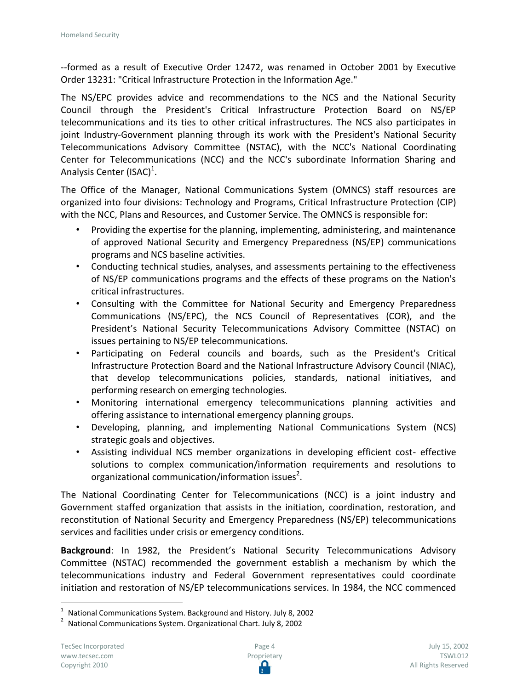--formed as a result of Executive Order 12472, was renamed in October 2001 by Executive Order 13231: "Critical Infrastructure Protection in the Information Age."

The NS/EPC provides advice and recommendations to the NCS and the National Security Council through the President's Critical Infrastructure Protection Board on NS/EP telecommunications and its ties to other critical infrastructures. The NCS also participates in joint Industry-Government planning through its work with the President's National Security Telecommunications Advisory Committee (NSTAC), with the NCC's National Coordinating Center for Telecommunications (NCC) and the NCC's subordinate Information Sharing and Analysis Center (ISAC)<sup>1</sup>.

The Office of the Manager, National Communications System (OMNCS) staff resources are organized into four divisions: Technology and Programs, Critical Infrastructure Protection (CIP) with the NCC, Plans and Resources, and Customer Service. The OMNCS is responsible for:

- Providing the expertise for the planning, implementing, administering, and maintenance of approved National Security and Emergency Preparedness (NS/EP) communications programs and NCS baseline activities.
- Conducting technical studies, analyses, and assessments pertaining to the effectiveness of NS/EP communications programs and the effects of these programs on the Nation's critical infrastructures.
- Consulting with the Committee for National Security and Emergency Preparedness Communications (NS/EPC), the NCS Council of Representatives (COR), and the President's National Security Telecommunications Advisory Committee (NSTAC) on issues pertaining to NS/EP telecommunications.
- Participating on Federal councils and boards, such as the President's Critical Infrastructure Protection Board and the National Infrastructure Advisory Council (NIAC), that develop telecommunications policies, standards, national initiatives, and performing research on emerging technologies.
- Monitoring international emergency telecommunications planning activities and offering assistance to international emergency planning groups.
- Developing, planning, and implementing National Communications System (NCS) strategic goals and objectives.
- Assisting individual NCS member organizations in developing efficient cost- effective solutions to complex communication/information requirements and resolutions to organizational communication/information issues<sup>2</sup>.

The National Coordinating Center for Telecommunications (NCC) is a joint industry and Government staffed organization that assists in the initiation, coordination, restoration, and reconstitution of National Security and Emergency Preparedness (NS/EP) telecommunications services and facilities under crisis or emergency conditions.

**Background**: In 1982, the President's National Security Telecommunications Advisory Committee (NSTAC) recommended the government establish a mechanism by which the telecommunications industry and Federal Government representatives could coordinate initiation and restoration of NS/EP telecommunications services. In 1984, the NCC commenced

 $\overline{a}$ 

 $1$  National Communications System. Background and History. July 8, 2002

<sup>&</sup>lt;sup>2</sup> National Communications System. Organizational Chart. July 8, 2002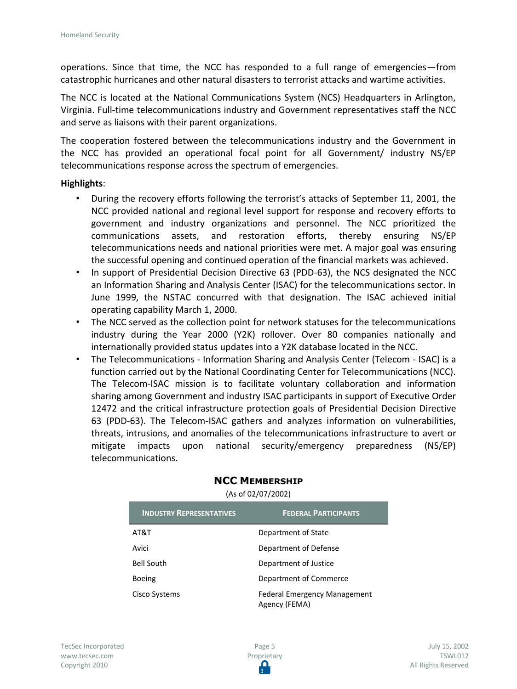operations. Since that time, the NCC has responded to a full range of emergencies—from catastrophic hurricanes and other natural disasters to terrorist attacks and wartime activities.

The NCC is located at the National Communications System (NCS) Headquarters in Arlington, Virginia. Full-time telecommunications industry and Government representatives staff the NCC and serve as liaisons with their parent organizations.

The cooperation fostered between the telecommunications industry and the Government in the NCC has provided an operational focal point for all Government/ industry NS/EP telecommunications response across the spectrum of emergencies.

## **Highlights**:

- During the recovery efforts following the terrorist's attacks of September 11, 2001, the NCC provided national and regional level support for response and recovery efforts to government and industry organizations and personnel. The NCC prioritized the communications assets, and restoration efforts, thereby ensuring NS/EP telecommunications needs and national priorities were met. A major goal was ensuring the successful opening and continued operation of the financial markets was achieved.
- In support of Presidential Decision Directive 63 (PDD-63), the NCS designated the NCC an Information Sharing and Analysis Center (ISAC) for the telecommunications sector. In June 1999, the NSTAC concurred with that designation. The ISAC achieved initial operating capability March 1, 2000.
- The NCC served as the collection point for network statuses for the telecommunications industry during the Year 2000 (Y2K) rollover. Over 80 companies nationally and internationally provided status updates into a Y2K database located in the NCC.
- The Telecommunications Information Sharing and Analysis Center (Telecom ISAC) is a function carried out by the National Coordinating Center for Telecommunications (NCC). The Telecom-ISAC mission is to facilitate voluntary collaboration and information sharing among Government and industry ISAC participants in support of Executive Order 12472 and the critical infrastructure protection goals of Presidential Decision Directive 63 (PDD-63). The Telecom-ISAC gathers and analyzes information on vulnerabilities, threats, intrusions, and anomalies of the telecommunications infrastructure to avert or mitigate impacts upon national security/emergency preparedness (NS/EP) telecommunications.

| <b>INDUSTRY REPRESENTATIVES</b> | <b>FEDERAL PARTICIPANTS</b>                          |
|---------------------------------|------------------------------------------------------|
| AT&T                            | Department of State                                  |
| Avici                           | Department of Defense                                |
| <b>Bell South</b>               | Department of Justice                                |
| <b>Boeing</b>                   | Department of Commerce                               |
| Cisco Systems                   | <b>Federal Emergency Management</b><br>Agency (FEMA) |

## **NCC MEMBERSHIP**

(As of 02/07/2002)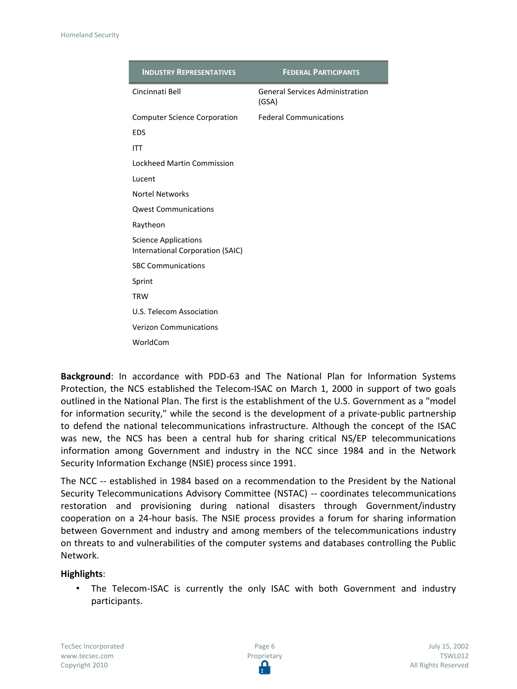| <b>INDUSTRY REPRESENTATIVES</b>                                 | <b>FEDERAL PARTICIPANTS</b>                     |
|-----------------------------------------------------------------|-------------------------------------------------|
| Cincinnati Bell                                                 | <b>General Services Administration</b><br>(GSA) |
| <b>Computer Science Corporation</b>                             | <b>Federal Communications</b>                   |
| <b>EDS</b>                                                      |                                                 |
| <b>ITT</b>                                                      |                                                 |
| Lockheed Martin Commission                                      |                                                 |
| Lucent                                                          |                                                 |
| <b>Nortel Networks</b>                                          |                                                 |
| <b>Qwest Communications</b>                                     |                                                 |
| Raytheon                                                        |                                                 |
| <b>Science Applications</b><br>International Corporation (SAIC) |                                                 |
| <b>SBC Communications</b>                                       |                                                 |
| Sprint                                                          |                                                 |
| <b>TRW</b>                                                      |                                                 |
| U.S. Telecom Association                                        |                                                 |
| <b>Verizon Communications</b>                                   |                                                 |
| WorldCom                                                        |                                                 |

**Background**: In accordance with PDD-63 and The National Plan for Information Systems Protection, the NCS established the Telecom-ISAC on March 1, 2000 in support of two goals outlined in the National Plan. The first is the establishment of the U.S. Government as a "model for information security," while the second is the development of a private-public partnership to defend the national telecommunications infrastructure. Although the concept of the ISAC was new, the NCS has been a central hub for sharing critical NS/EP telecommunications information among Government and industry in the NCC since 1984 and in the Network Security Information Exchange (NSIE) process since 1991.

The NCC -- established in 1984 based on a recommendation to the President by the National Security Telecommunications Advisory Committee (NSTAC) -- coordinates telecommunications restoration and provisioning during national disasters through Government/industry cooperation on a 24-hour basis. The NSIE process provides a forum for sharing information between Government and industry and among members of the telecommunications industry on threats to and vulnerabilities of the computer systems and databases controlling the Public Network.

## **Highlights**:

The Telecom-ISAC is currently the only ISAC with both Government and industry participants.

TecSec Incorporated www.tecsec.com Copyright 2010

Page 6 Proprietary Ω